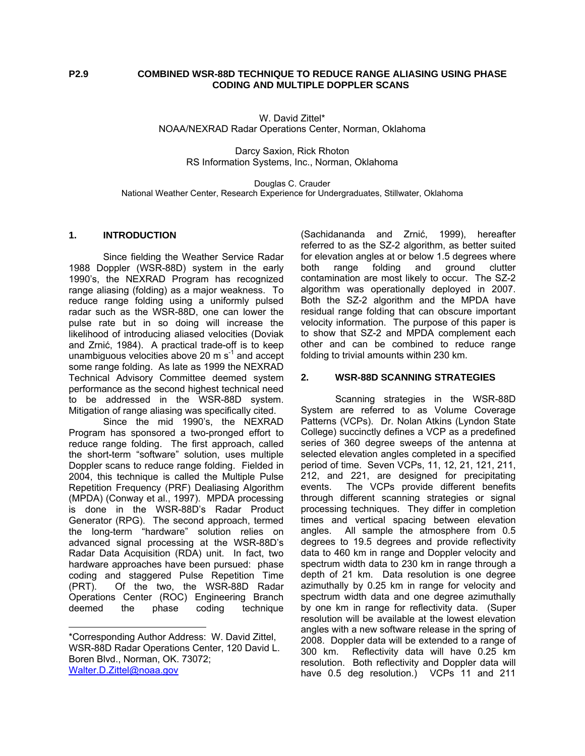### **P2.9 COMBINED WSR-88D TECHNIQUE TO REDUCE RANGE ALIASING USING PHASE CODING AND MULTIPLE DOPPLER SCANS**

W. David Zittel\* NOAA/NEXRAD Radar Operations Center, Norman, Oklahoma

> Darcy Saxion, Rick Rhoton RS Information Systems, Inc., Norman, Oklahoma

Douglas C. Crauder National Weather Center, Research Experience for Undergraduates, Stillwater, Oklahoma

#### **1. INTRODUCTION**

Since fielding the Weather Service Radar 1988 Doppler (WSR-88D) system in the early 1990's, the NEXRAD Program has recognized range aliasing (folding) as a major weakness. To reduce range folding using a uniformly pulsed radar such as the WSR-88D, one can lower the pulse rate but in so doing will increase the likelihood of introducing aliased velocities (Doviak and Zrnić, 1984). A practical trade-off is to keep unambiguous velocities above 20  $\text{m s}^1$  and accept some range folding. As late as 1999 the NEXRAD Technical Advisory Committee deemed system performance as the second highest technical need to be addressed in the WSR-88D system. Mitigation of range aliasing was specifically cited.

Since the mid 1990's, the NEXRAD Program has sponsored a two-pronged effort to reduce range folding. The first approach, called the short-term "software" solution, uses multiple Doppler scans to reduce range folding. Fielded in 2004, this technique is called the Multiple Pulse Repetition Frequency (PRF) Dealiasing Algorithm (MPDA) (Conway et al., 1997). MPDA processing is done in the WSR-88D's Radar Product Generator (RPG). The second approach, termed the long-term "hardware" solution relies on advanced signal processing at the WSR-88D's Radar Data Acquisition (RDA) unit. In fact, two hardware approaches have been pursued: phase coding and staggered Pulse Repetition Time (PRT). Of the two, the WSR-88D Radar Operations Center (ROC) Engineering Branch deemed the phase coding technique

l

(Sachidananda and Zrnić, 1999), hereafter referred to as the SZ-2 algorithm, as better suited for elevation angles at or below 1.5 degrees where both range folding and ground clutter contamination are most likely to occur. The SZ-2 algorithm was operationally deployed in 2007. Both the SZ-2 algorithm and the MPDA have residual range folding that can obscure important velocity information. The purpose of this paper is to show that SZ-2 and MPDA complement each other and can be combined to reduce range folding to trivial amounts within 230 km.

#### **2. WSR-88D SCANNING STRATEGIES**

Scanning strategies in the WSR-88D System are referred to as Volume Coverage Patterns (VCPs). Dr. Nolan Atkins (Lyndon State College) succinctly defines a VCP as a predefined series of 360 degree sweeps of the antenna at selected elevation angles completed in a specified period of time. Seven VCPs, 11, 12, 21, 121, 211, 212, and 221, are designed for precipitating events. The VCPs provide different benefits through different scanning strategies or signal processing techniques. They differ in completion times and vertical spacing between elevation angles. All sample the atmosphere from 0.5 degrees to 19.5 degrees and provide reflectivity data to 460 km in range and Doppler velocity and spectrum width data to 230 km in range through a depth of 21 km. Data resolution is one degree azimuthally by 0.25 km in range for velocity and spectrum width data and one degree azimuthally by one km in range for reflectivity data. (Super resolution will be available at the lowest elevation angles with a new software release in the spring of 2008. Doppler data will be extended to a range of 300 km. Reflectivity data will have 0.25 km resolution. Both reflectivity and Doppler data will have 0.5 deg resolution.) VCPs 11 and 211

<sup>\*</sup>Corresponding Author Address: W. David Zittel, WSR-88D Radar Operations Center, 120 David L. Boren Blvd., Norman, OK. 73072; Walter.D.Zittel@noaa.gov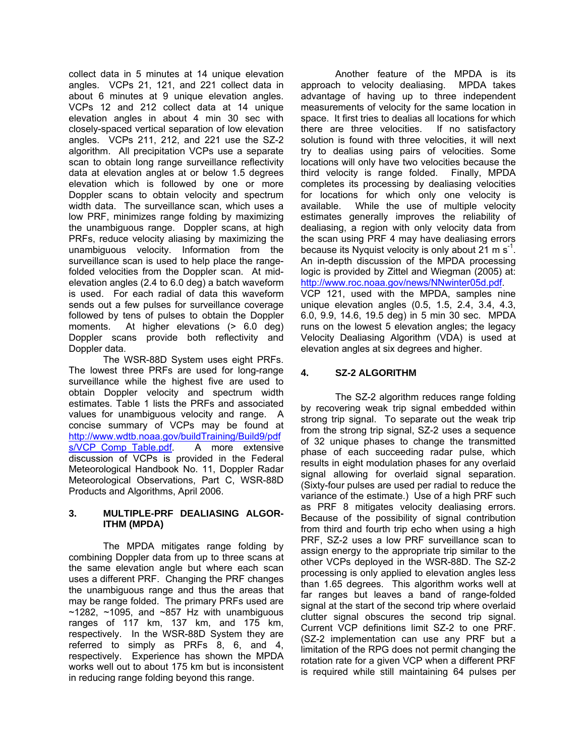collect data in 5 minutes at 14 unique elevation angles. VCPs 21, 121, and 221 collect data in about 6 minutes at 9 unique elevation angles. VCPs 12 and 212 collect data at 14 unique elevation angles in about 4 min 30 sec with closely-spaced vertical separation of low elevation angles. VCPs 211, 212, and 221 use the SZ-2 algorithm. All precipitation VCPs use a separate scan to obtain long range surveillance reflectivity data at elevation angles at or below 1.5 degrees elevation which is followed by one or more Doppler scans to obtain velocity and spectrum width data. The surveillance scan, which uses a low PRF, minimizes range folding by maximizing the unambiguous range. Doppler scans, at high PRFs, reduce velocity aliasing by maximizing the unambiguous velocity. Information from the surveillance scan is used to help place the rangefolded velocities from the Doppler scan. At midelevation angles (2.4 to 6.0 deg) a batch waveform is used. For each radial of data this waveform sends out a few pulses for surveillance coverage followed by tens of pulses to obtain the Doppler moments. At higher elevations (> 6.0 deg) Doppler scans provide both reflectivity and Doppler data.

The WSR-88D System uses eight PRFs. The lowest three PRFs are used for long-range surveillance while the highest five are used to obtain Doppler velocity and spectrum width estimates. Table 1 lists the PRFs and associated values for unambiguous velocity and range. A concise summary of VCPs may be found at http://www.wdtb.noaa.gov/buildTraining/Build9/pdf s/VCP Comp Table.pdf. A more extensive discussion of VCPs is provided in the Federal Meteorological Handbook No. 11, Doppler Radar Meteorological Observations, Part C, WSR-88D Products and Algorithms, April 2006.

### **3. MULTIPLE-PRF DEALIASING ALGOR-ITHM (MPDA)**

The MPDA mitigates range folding by combining Doppler data from up to three scans at the same elevation angle but where each scan uses a different PRF. Changing the PRF changes the unambiguous range and thus the areas that may be range folded. The primary PRFs used are  $\sim$ 1282,  $\sim$ 1095, and  $\sim$ 857 Hz with unambiguous ranges of 117 km, 137 km, and 175 km, respectively. In the WSR-88D System they are referred to simply as PRFs 8, 6, and 4, respectively. Experience has shown the MPDA works well out to about 175 km but is inconsistent in reducing range folding beyond this range.

Another feature of the MPDA is its approach to velocity dealiasing. MPDA takes advantage of having up to three independent measurements of velocity for the same location in space. It first tries to dealias all locations for which there are three velocities. If no satisfactory solution is found with three velocities, it will next try to dealias using pairs of velocities. Some locations will only have two velocities because the third velocity is range folded. Finally, MPDA completes its processing by dealiasing velocities for locations for which only one velocity is available. While the use of multiple velocity estimates generally improves the reliability of dealiasing, a region with only velocity data from the scan using PRF 4 may have dealiasing errors because its Nyquist velocity is only about 21 m  $s^{-1}$ . An in-depth discussion of the MPDA processing logic is provided by Zittel and Wiegman (2005) at: http://www.roc.noaa.gov/news/NNwinter05d.pdf.

VCP 121, used with the MPDA, samples nine unique elevation angles (0.5, 1.5, 2.4, 3.4, 4.3, 6.0, 9.9, 14.6, 19.5 deg) in 5 min 30 sec. MPDA runs on the lowest 5 elevation angles; the legacy Velocity Dealiasing Algorithm (VDA) is used at elevation angles at six degrees and higher.

# **4. SZ-2 ALGORITHM**

The SZ-2 algorithm reduces range folding by recovering weak trip signal embedded within strong trip signal. To separate out the weak trip from the strong trip signal, SZ-2 uses a sequence of 32 unique phases to change the transmitted phase of each succeeding radar pulse, which results in eight modulation phases for any overlaid signal allowing for overlaid signal separation. (Sixty-four pulses are used per radial to reduce the variance of the estimate.) Use of a high PRF such as PRF 8 mitigates velocity dealiasing errors. Because of the possibility of signal contribution from third and fourth trip echo when using a high PRF, SZ-2 uses a low PRF surveillance scan to assign energy to the appropriate trip similar to the other VCPs deployed in the WSR-88D. The SZ-2 processing is only applied to elevation angles less than 1.65 degrees. This algorithm works well at far ranges but leaves a band of range-folded signal at the start of the second trip where overlaid clutter signal obscures the second trip signal. Current VCP definitions limit SZ-2 to one PRF. (SZ-2 implementation can use any PRF but a limitation of the RPG does not permit changing the rotation rate for a given VCP when a different PRF is required while still maintaining 64 pulses per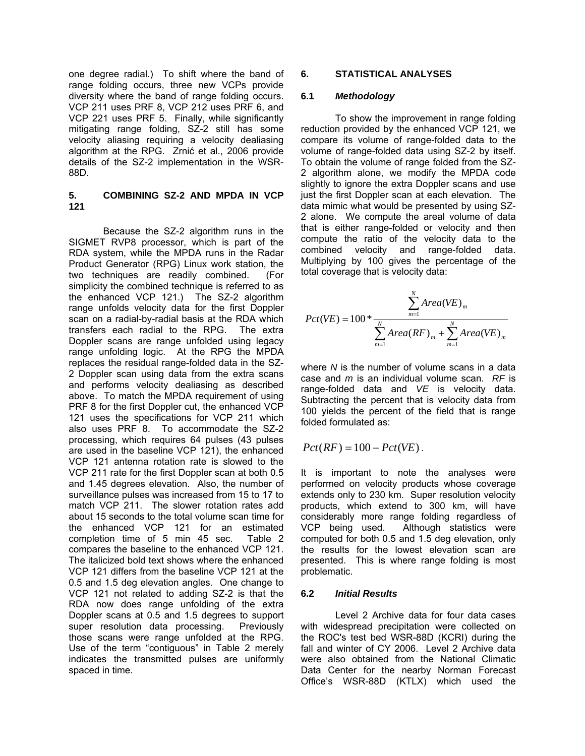one degree radial.) To shift where the band of range folding occurs, three new VCPs provide diversity where the band of range folding occurs. VCP 211 uses PRF 8, VCP 212 uses PRF 6, and VCP 221 uses PRF 5. Finally, while significantly mitigating range folding, SZ-2 still has some velocity aliasing requiring a velocity dealiasing algorithm at the RPG. Zrnić et al., 2006 provide details of the SZ-2 implementation in the WSR-88D.

### **5. COMBINING SZ-2 AND MPDA IN VCP 121**

Because the SZ-2 algorithm runs in the SIGMET RVP8 processor, which is part of the RDA system, while the MPDA runs in the Radar Product Generator (RPG) Linux work station, the two techniques are readily combined. (For simplicity the combined technique is referred to as the enhanced VCP 121.) The SZ-2 algorithm range unfolds velocity data for the first Doppler scan on a radial-by-radial basis at the RDA which transfers each radial to the RPG. The extra Doppler scans are range unfolded using legacy range unfolding logic. At the RPG the MPDA replaces the residual range-folded data in the SZ-2 Doppler scan using data from the extra scans and performs velocity dealiasing as described above. To match the MPDA requirement of using PRF 8 for the first Doppler cut, the enhanced VCP 121 uses the specifications for VCP 211 which also uses PRF 8. To accommodate the SZ-2 processing, which requires 64 pulses (43 pulses are used in the baseline VCP 121), the enhanced VCP 121 antenna rotation rate is slowed to the VCP 211 rate for the first Doppler scan at both 0.5 and 1.45 degrees elevation. Also, the number of surveillance pulses was increased from 15 to 17 to match VCP 211. The slower rotation rates add about 15 seconds to the total volume scan time for the enhanced VCP 121 for an estimated completion time of 5 min 45 sec. Table 2 compares the baseline to the enhanced VCP 121. The italicized bold text shows where the enhanced VCP 121 differs from the baseline VCP 121 at the 0.5 and 1.5 deg elevation angles. One change to VCP 121 not related to adding SZ-2 is that the RDA now does range unfolding of the extra Doppler scans at 0.5 and 1.5 degrees to support super resolution data processing. Previously those scans were range unfolded at the RPG. Use of the term "contiguous" in Table 2 merely indicates the transmitted pulses are uniformly spaced in time.

### **6. STATISTICAL ANALYSES**

### **6.1** *Methodology*

To show the improvement in range folding reduction provided by the enhanced VCP 121, we compare its volume of range-folded data to the volume of range-folded data using SZ-2 by itself. To obtain the volume of range folded from the SZ-2 algorithm alone, we modify the MPDA code slightly to ignore the extra Doppler scans and use just the first Doppler scan at each elevation. The data mimic what would be presented by using SZ-2 alone. We compute the areal volume of data that is either range-folded or velocity and then compute the ratio of the velocity data to the combined velocity and range-folded data. Multiplying by 100 gives the percentage of the total coverage that is velocity data:

$$
Pct(VE) = 100 * \frac{\sum_{m=1}^{N} Area(VE)_m}{\sum_{m=1}^{N} Area(RF)_m + \sum_{m=1}^{N} Area(VE)_m}
$$

where *N* is the number of volume scans in a data case and *m* is an individual volume scan. *RF* is range-folded data and *VE* is velocity data. Subtracting the percent that is velocity data from 100 yields the percent of the field that is range folded formulated as:

$$
Pct(RF) = 100 - Pct(VE).
$$

It is important to note the analyses were performed on velocity products whose coverage extends only to 230 km. Super resolution velocity products, which extend to 300 km, will have considerably more range folding regardless of VCP being used. Although statistics were computed for both 0.5 and 1.5 deg elevation, only the results for the lowest elevation scan are presented. This is where range folding is most problematic.

### **6.2** *Initial Results*

Level 2 Archive data for four data cases with widespread precipitation were collected on the ROC's test bed WSR-88D (KCRI) during the fall and winter of CY 2006. Level 2 Archive data were also obtained from the National Climatic Data Center for the nearby Norman Forecast Office's WSR-88D (KTLX) which used the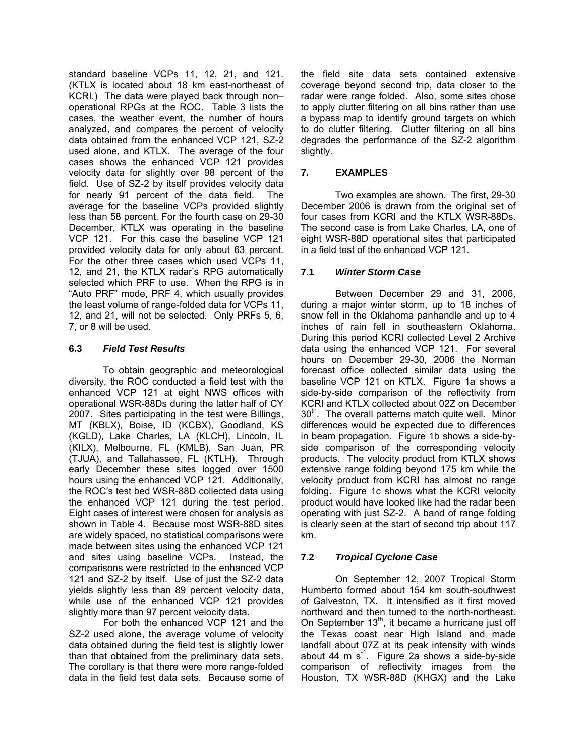standard baseline VCPs 11, 12, 21, and 121. (KTLX is located about 18 km east-northeast of KCRI.) The data were played back through non– operational RPGs at the ROC. Table 3 lists the cases, the weather event, the number of hours analyzed, and compares the percent of velocity data obtained from the enhanced VCP 121, SZ-2 used alone, and KTLX. The average of the four cases shows the enhanced VCP 121 provides velocity data for slightly over 98 percent of the field. Use of SZ-2 by itself provides velocity data for nearly 91 percent of the data field. The average for the baseline VCPs provided slightly less than 58 percent. For the fourth case on 29-30 December, KTLX was operating in the baseline VCP 121. For this case the baseline VCP 121 provided velocity data for only about 63 percent. For the other three cases which used VCPs 11, 12, and 21, the KTLX radar's RPG automatically selected which PRF to use. When the RPG is in "Auto PRF" mode, PRF 4, which usually provides the least volume of range-folded data for VCPs 11, 12, and 21, will not be selected. Only PRFs 5, 6, 7, or 8 will be used.

## **6.3** *Field Test Results*

To obtain geographic and meteorological diversity, the ROC conducted a field test with the enhanced VCP 121 at eight NWS offices with operational WSR-88Ds during the latter half of CY 2007. Sites participating in the test were Billings, MT (KBLX), Boise, ID (KCBX), Goodland, KS (KGLD), Lake Charles, LA (KLCH), Lincoln, IL (KILX), Melbourne, FL (KMLB), San Juan, PR (TJUA), and Tallahassee, FL (KTLH). Through early December these sites logged over 1500 hours using the enhanced VCP 121. Additionally, the ROC's test bed WSR-88D collected data using the enhanced VCP 121 during the test period. Eight cases of interest were chosen for analysis as shown in Table 4. Because most WSR-88D sites are widely spaced, no statistical comparisons were made between sites using the enhanced VCP 121 and sites using baseline VCPs. Instead, the comparisons were restricted to the enhanced VCP 121 and SZ-2 by itself. Use of just the SZ-2 data yields slightly less than 89 percent velocity data, while use of the enhanced VCP 121 provides slightly more than 97 percent velocity data.

 For both the enhanced VCP 121 and the SZ-2 used alone, the average volume of velocity data obtained during the field test is slightly lower than that obtained from the preliminary data sets. The corollary is that there were more range-folded data in the field test data sets. Because some of the field site data sets contained extensive coverage beyond second trip, data closer to the radar were range folded. Also, some sites chose to apply clutter filtering on all bins rather than use a bypass map to identify ground targets on which to do clutter filtering. Clutter filtering on all bins degrades the performance of the SZ-2 algorithm slightly.

# **7. EXAMPLES**

Two examples are shown. The first, 29-30 December 2006 is drawn from the original set of four cases from KCRI and the KTLX WSR-88Ds. The second case is from Lake Charles, LA, one of eight WSR-88D operational sites that participated in a field test of the enhanced VCP 121.

## **7.1** *Winter Storm Case*

Between December 29 and 31, 2006, during a major winter storm, up to 18 inches of snow fell in the Oklahoma panhandle and up to 4 inches of rain fell in southeastern Oklahoma. During this period KCRI collected Level 2 Archive data using the enhanced VCP 121. For several hours on December 29-30, 2006 the Norman forecast office collected similar data using the baseline VCP 121 on KTLX. Figure 1a shows a side-by-side comparison of the reflectivity from KCRI and KTLX collected about 02Z on December  $30<sup>th</sup>$ . The overall patterns match quite well. Minor differences would be expected due to differences in beam propagation. Figure 1b shows a side-byside comparison of the corresponding velocity products. The velocity product from KTLX shows extensive range folding beyond 175 km while the velocity product from KCRI has almost no range folding. Figure 1c shows what the KCRI velocity product would have looked like had the radar been operating with just SZ-2. A band of range folding is clearly seen at the start of second trip about 117 km.

# **7.2** *Tropical Cyclone Case*

On September 12, 2007 Tropical Storm Humberto formed about 154 km south-southwest of Galveston, TX. It intensified as it first moved northward and then turned to the north-northeast. On September  $13<sup>th</sup>$ , it became a hurricane just off the Texas coast near High Island and made landfall about 07Z at its peak intensity with winds about 44 m  $s^{-1}$ . Figure 2a shows a side-by-side comparison of reflectivity images from the Houston, TX WSR-88D (KHGX) and the Lake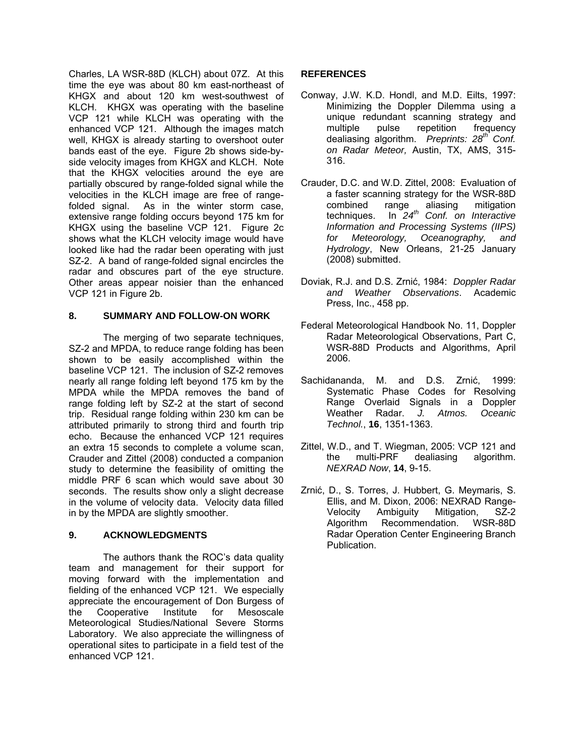Charles, LA WSR-88D (KLCH) about 07Z. At this time the eye was about 80 km east-northeast of KHGX and about 120 km west-southwest of KLCH. KHGX was operating with the baseline VCP 121 while KLCH was operating with the enhanced VCP 121. Although the images match well, KHGX is already starting to overshoot outer bands east of the eye. Figure 2b shows side-byside velocity images from KHGX and KLCH. Note that the KHGX velocities around the eye are partially obscured by range-folded signal while the velocities in the KLCH image are free of rangefolded signal. As in the winter storm case, extensive range folding occurs beyond 175 km for KHGX using the baseline VCP 121. Figure 2c shows what the KLCH velocity image would have looked like had the radar been operating with just SZ-2. A band of range-folded signal encircles the radar and obscures part of the eye structure. Other areas appear noisier than the enhanced VCP 121 in Figure 2b.

### **8. SUMMARY AND FOLLOW-ON WORK**

The merging of two separate techniques. SZ-2 and MPDA, to reduce range folding has been shown to be easily accomplished within the baseline VCP 121. The inclusion of SZ-2 removes nearly all range folding left beyond 175 km by the MPDA while the MPDA removes the band of range folding left by SZ-2 at the start of second trip. Residual range folding within 230 km can be attributed primarily to strong third and fourth trip echo. Because the enhanced VCP 121 requires an extra 15 seconds to complete a volume scan, Crauder and Zittel (2008) conducted a companion study to determine the feasibility of omitting the middle PRF 6 scan which would save about 30 seconds. The results show only a slight decrease in the volume of velocity data. Velocity data filled in by the MPDA are slightly smoother.

## **9. ACKNOWLEDGMENTS**

 The authors thank the ROC's data quality team and management for their support for moving forward with the implementation and fielding of the enhanced VCP 121. We especially appreciate the encouragement of Don Burgess of the Cooperative Institute for Mesoscale Meteorological Studies/National Severe Storms Laboratory. We also appreciate the willingness of operational sites to participate in a field test of the enhanced VCP 121.

### **REFERENCES**

- Conway, J.W. K.D. Hondl, and M.D. Eilts, 1997: Minimizing the Doppler Dilemma using a unique redundant scanning strategy and multiple pulse repetition frequency dealiasing algorithm. *Preprints: 28th Conf. on Radar Meteor,* Austin, TX, AMS, 315- 316.
- Crauder, D.C. and W.D. Zittel, 2008: Evaluation of a faster scanning strategy for the WSR-88D combined range aliasing mitigation techniques. In *24th Conf. on Interactive Information and Processing Systems (IIPS) for Meteorology, Oceanography, and Hydrology*, New Orleans, 21-25 January (2008) submitted.
- Doviak, R.J. and D.S. Zrnić, 1984: *Doppler Radar and Weather Observations*. Academic Press, Inc., 458 pp.
- Federal Meteorological Handbook No. 11, Doppler Radar Meteorological Observations, Part C, WSR-88D Products and Algorithms, April 2006.
- Sachidananda, M. and D.S. Zrnić, 1999: Systematic Phase Codes for Resolving Range Overlaid Signals in a Doppler Weather Radar. *J. Atmos. Oceanic Technol.*, **16**, 1351-1363.
- Zittel, W.D., and T. Wiegman, 2005: VCP 121 and the multi-PRF dealiasing algorithm. *NEXRAD Now*, **14**, 9-15.
- Zrnić, D., S. Torres, J. Hubbert, G. Meymaris, S. Ellis, and M. Dixon, 2006: NEXRAD Range-Velocity Ambiguity Mitigation, SZ-2 Algorithm Recommendation. WSR-88D Radar Operation Center Engineering Branch Publication.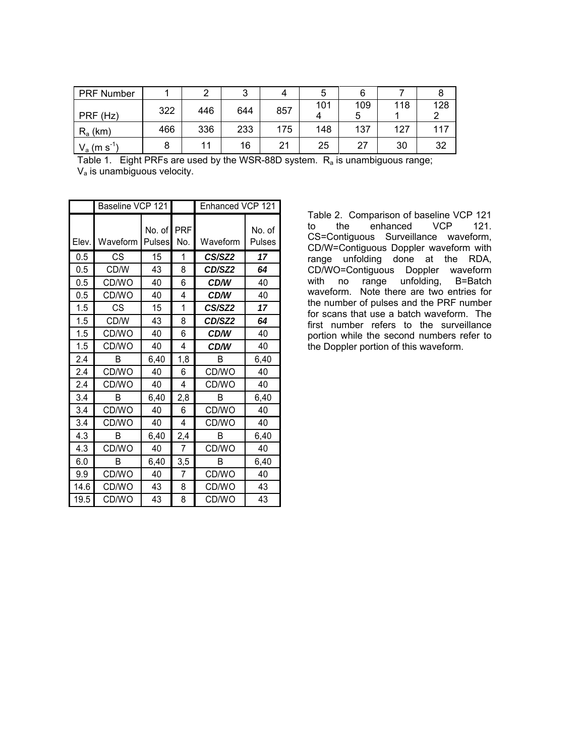| <b>PRF Number</b> |     |     | ◠   |     |     |     |     |     |
|-------------------|-----|-----|-----|-----|-----|-----|-----|-----|
|                   | 322 | 446 | 644 | 857 | 101 | 109 | 118 | 128 |
| PRF (Hz)          |     |     |     |     |     | ა   |     |     |
| $R_a$ (km)        | 466 | 336 | 233 | 175 | 148 | 137 | 127 | 117 |
| $V_a$ (m s        |     | 11  | 16  | 21  | 25  | 27  | 30  | 32  |

Table 1. Eight PRFs are used by the WSR-88D system. R<sub>a</sub> is unambiguous range; Va is unambiguous velocity.

|       | Baseline VCP 121 |                      |                | Enhanced VCP 121   |                  |  |
|-------|------------------|----------------------|----------------|--------------------|------------------|--|
| Elev. | Waveform         | No. of PRF<br>Pulses | No.            | Waveform           | No. of<br>Pulses |  |
| 0.5   | CS               | 15                   | 1              | CS/SZ2             | 17               |  |
| 0.5   | CD/W             | 43                   | 8              | CD/SZ2             | 64               |  |
| 0.5   | CD/WO            | 40                   | 6              | CD/W               | 40               |  |
| 0.5   | CD/WO            | 40                   | 4              | <b>CD/W</b>        | 40               |  |
| 1.5   | CS               | 15                   | 1              | CS/SZ <sub>2</sub> | 17               |  |
| 1.5   | CD/W             | 43                   | 8              | CD/SZ2             | 64               |  |
| 1.5   | CD/WO            | 40                   | 6              | CD/W               | 40               |  |
| 1.5   | CD/WO            | 40                   | 4              | CD/W               | 40               |  |
| 2.4   | B                | 6,40                 | 1,8            | B                  | 6,40             |  |
| 2.4   | CD/WO            | 40                   | 6              | CD/WO              | 40               |  |
| 2.4   | CD/WO            | 40                   | 4              | CD/WO              | 40               |  |
| 3.4   | B                | 6,40                 | 2,8            | B                  | 6,40             |  |
| 3.4   | CD/WO            | 40                   | 6              | CD/WO              | 40               |  |
| 3.4   | CD/WO            | 40                   | 4              | CD/WO              | 40               |  |
| 4.3   | R                | 6,40                 | 2,4            | R                  | 6,40             |  |
| 4.3   | CD/WO            | 40                   | 7              | CD/WO              | 40               |  |
| 6.0   | в                | 6,40                 | 3,5            | B                  | 6,40             |  |
| 9.9   | CD/WO            | 40                   | $\overline{7}$ | CD/WO              | 40               |  |
| 14.6  | CD/WO            | 43                   | 8              | CD/WO              | 43               |  |
| 19.5  | CD/WO            | 43                   | 8              | CD/WO              | 43               |  |

Table 2. Comparison of baseline VCP 121<br>to the enhanced VCP 121. to the enhanced CS=Contiguous Surveillance waveform, CD/W=Contiguous Doppler waveform with range unfolding done at the RDA, CD/WO=Contiguous Doppler waveform with no range unfolding, B=Batch waveform. Note there are two entries for the number of pulses and the PRF number for scans that use a batch waveform. The first number refers to the surveillance portion while the second numbers refer to the Doppler portion of this waveform.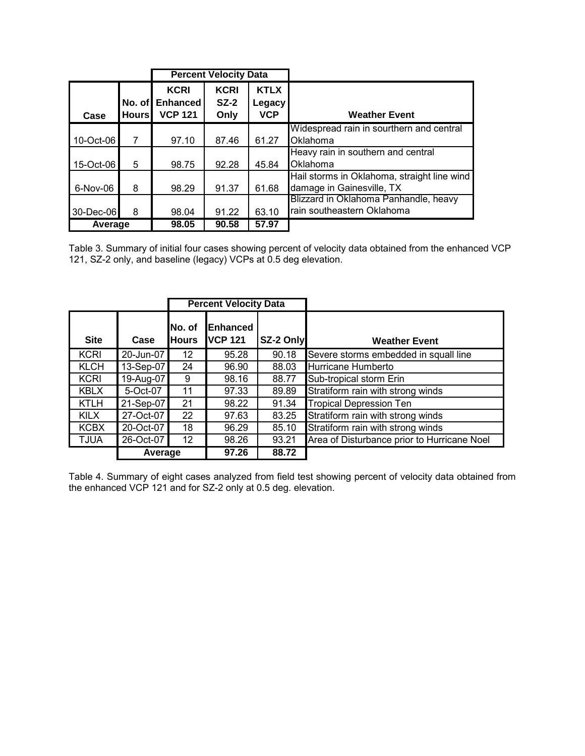|           |              |                                                  | <b>Percent Velocity Data</b>  |                                     |                                             |
|-----------|--------------|--------------------------------------------------|-------------------------------|-------------------------------------|---------------------------------------------|
| Case      | <b>Hours</b> | <b>KCRI</b><br>No. of Enhanced<br><b>VCP 121</b> | <b>KCRI</b><br>$SZ-2$<br>Only | <b>KTLX</b><br>Legacy<br><b>VCP</b> | <b>Weather Event</b>                        |
|           |              |                                                  |                               |                                     | Widespread rain in sourthern and central    |
| 10-Oct-06 | 7            | 97.10                                            | 87.46                         | 61.27                               | Oklahoma                                    |
|           |              |                                                  |                               |                                     | Heavy rain in southern and central          |
| 15-Oct-06 | 5            | 98.75                                            | 92.28                         | 45.84                               | Oklahoma                                    |
|           |              |                                                  |                               |                                     | Hail storms in Oklahoma, straight line wind |
| 6-Nov-06  | 8            | 98.29                                            | 91.37                         | 61.68                               | damage in Gainesville, TX                   |
|           |              |                                                  |                               |                                     | Blizzard in Oklahoma Panhandle, heavy       |
| 30-Dec-06 | 8            | 98.04                                            | 91.22                         | 63.10                               | rain southeastern Oklahoma                  |
| Average   |              | 98.05                                            | 90.58                         | 57.97                               |                                             |

Table 3. Summary of initial four cases showing percent of velocity data obtained from the enhanced VCP 121, SZ-2 only, and baseline (legacy) VCPs at 0.5 deg elevation.

|             |           |                         | <b>Percent Velocity Data</b>        |           |                                             |
|-------------|-----------|-------------------------|-------------------------------------|-----------|---------------------------------------------|
| <b>Site</b> | Case      | INo. of<br><b>Hours</b> | <b>IEnhanced</b><br><b>IVCP 121</b> | SZ-2 Only | <b>Weather Event</b>                        |
| <b>KCRI</b> | 20-Jun-07 | 12                      | 95.28                               | 90.18     | Severe storms embedded in squall line       |
| <b>KLCH</b> | 13-Sep-07 | 24                      | 96.90                               | 88.03     | Hurricane Humberto                          |
| <b>KCRI</b> | 19-Aug-07 | 9                       | 98.16                               | 88.77     | Sub-tropical storm Erin                     |
| <b>KBLX</b> | 5-Oct-07  | 11                      | 97.33                               | 89.89     | Stratiform rain with strong winds           |
| <b>KTLH</b> | 21-Sep-07 | 21                      | 98.22                               | 91.34     | <b>Tropical Depression Ten</b>              |
| <b>KILX</b> | 27-Oct-07 | 22                      | 97.63                               | 83.25     | Stratiform rain with strong winds           |
| <b>KCBX</b> | 20-Oct-07 | 18                      | 96.29                               | 85.10     | Stratiform rain with strong winds           |
| <b>TJUA</b> | 26-Oct-07 | 12                      | 98.26                               | 93.21     | Area of Disturbance prior to Hurricane Noel |
|             | Average   |                         | 97.26                               | 88.72     |                                             |

Table 4. Summary of eight cases analyzed from field test showing percent of velocity data obtained from the enhanced VCP 121 and for SZ-2 only at 0.5 deg. elevation.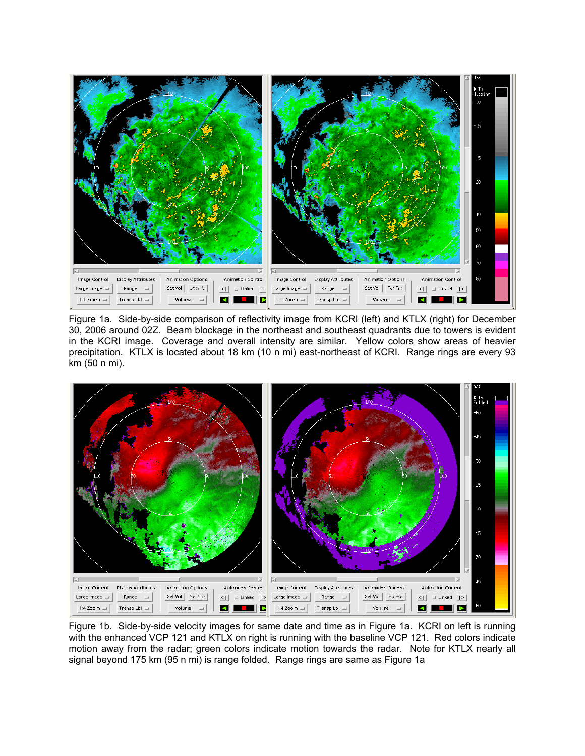

Figure 1a. Side-by-side comparison of reflectivity image from KCRI (left) and KTLX (right) for December 30, 2006 around 02Z. Beam blockage in the northeast and southeast quadrants due to towers is evident in the KCRI image. Coverage and overall intensity are similar. Yellow colors show areas of heavier precipitation. KTLX is located about 18 km (10 n mi) east-northeast of KCRI. Range rings are every 93 km (50 n mi).



Figure 1b. Side-by-side velocity images for same date and time as in Figure 1a. KCRI on left is running with the enhanced VCP 121 and KTLX on right is running with the baseline VCP 121. Red colors indicate motion away from the radar; green colors indicate motion towards the radar. Note for KTLX nearly all signal beyond 175 km (95 n mi) is range folded. Range rings are same as Figure 1a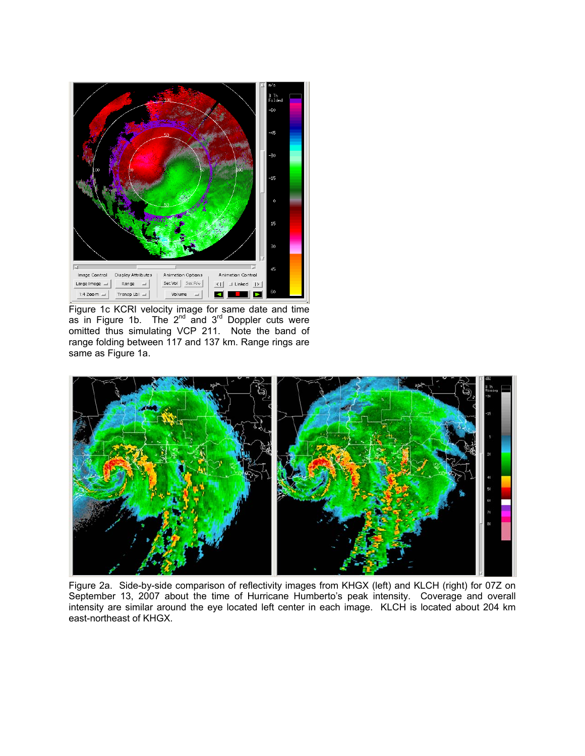

Figure 1c KCRI velocity image for same date and time as in Figure 1b. The  $2^{nd}$  and  $3^{rd}$  Doppler cuts were omitted thus simulating VCP 211. Note the band of range folding between 117 and 137 km. Range rings are same as Figure 1a.



Figure 2a. Side-by-side comparison of reflectivity images from KHGX (left) and KLCH (right) for 07Z on September 13, 2007 about the time of Hurricane Humberto's peak intensity. Coverage and overall intensity are similar around the eye located left center in each image. KLCH is located about 204 km east-northeast of KHGX.